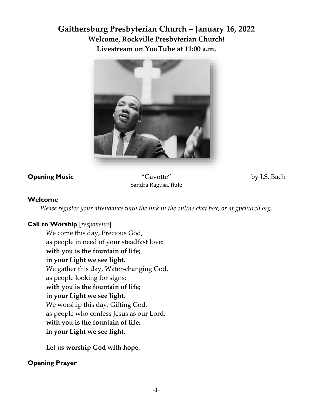# **Gaithersburg Presbyterian Church – January 16, 2022 Welcome, Rockville Presbyterian Church! Livestream on YouTube at 11:00 a.m.**



**Opening Music** "Gavotte" by J.S. Bach Sandra Ragusa, flute

### **Welcome**

*Please register your attendance with the link in the online chat box, or at gpchurch.org.* 

### **Call to Worship** [*responsive*]

We come this day, Precious God, as people in need of your steadfast love: **with you is the fountain of life; in your Light we see light.** We gather this day, Water-changing God, as people looking for signs: **with you is the fountain of life; in your Light we see light**. We worship this day, Gifting God, as people who confess Jesus as our Lord: **with you is the fountain of life; in your Light we see light.**

**Let us worship God with hope.** 

### **Opening Prayer**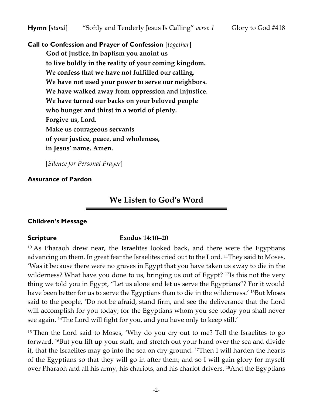**Call to Confession and Prayer of Confession** [*together*] **God of justice, in baptism you anoint us to live boldly in the reality of your coming kingdom. We confess that we have not fulfilled our calling. We have not used your power to serve our neighbors. We have walked away from oppression and injustice. We have turned our backs on your beloved people who hunger and thirst in a world of plenty. Forgive us, Lord. Make us courageous servants of your justice, peace, and wholeness, in Jesus' name. Amen.** 

[*Silence for Personal Prayer*]

### **Assurance of Pardon**

## **We Listen to God's Word**

### **Children's Message**

### **Scripture Exodus 14:10–20**

<sup>10</sup> As Pharaoh drew near, the Israelites looked back, and there were the Egyptians advancing on them. In great fear the Israelites cried out to the Lord. <sup>11</sup>They said to Moses, 'Was it because there were no graves in Egypt that you have taken us away to die in the wilderness? What have you done to us, bringing us out of Egypt? <sup>12</sup>Is this not the very thing we told you in Egypt, "Let us alone and let us serve the Egyptians"? For it would have been better for us to serve the Egyptians than to die in the wilderness.' <sup>13</sup>But Moses said to the people, 'Do not be afraid, stand firm, and see the deliverance that the Lord will accomplish for you today; for the Egyptians whom you see today you shall never see again. 14The Lord will fight for you, and you have only to keep still.'

<sup>15</sup> Then the Lord said to Moses, 'Why do you cry out to me? Tell the Israelites to go forward. 16But you lift up your staff, and stretch out your hand over the sea and divide it, that the Israelites may go into the sea on dry ground. 17Then I will harden the hearts of the Egyptians so that they will go in after them; and so I will gain glory for myself over Pharaoh and all his army, his chariots, and his chariot drivers. 18And the Egyptians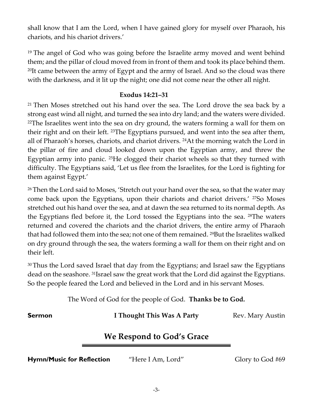shall know that I am the Lord, when I have gained glory for myself over Pharaoh, his chariots, and his chariot drivers.'

<sup>19</sup> The angel of God who was going before the Israelite army moved and went behind them; and the pillar of cloud moved from in front of them and took its place behind them. <sup>20</sup>It came between the army of Egypt and the army of Israel. And so the cloud was there with the darkness, and it lit up the night; one did not come near the other all night.

### **Exodus 14:21–31**

<sup>21</sup> Then Moses stretched out his hand over the sea. The Lord drove the sea back by a strong east wind all night, and turned the sea into dry land; and the waters were divided. <sup>22</sup>The Israelites went into the sea on dry ground, the waters forming a wall for them on their right and on their left. 23The Egyptians pursued, and went into the sea after them, all of Pharaoh's horses, chariots, and chariot drivers. 24At the morning watch the Lord in the pillar of fire and cloud looked down upon the Egyptian army, and threw the Egyptian army into panic. 25He clogged their chariot wheels so that they turned with difficulty. The Egyptians said, 'Let us flee from the Israelites, for the Lord is fighting for them against Egypt.'

<sup>26</sup> Then the Lord said to Moses, 'Stretch out your hand over the sea, so that the water may come back upon the Egyptians, upon their chariots and chariot drivers.' <sup>27</sup>So Moses stretched out his hand over the sea, and at dawn the sea returned to its normal depth. As the Egyptians fled before it, the Lord tossed the Egyptians into the sea. 28The waters returned and covered the chariots and the chariot drivers, the entire army of Pharaoh that had followed them into the sea; not one of them remained. 29But the Israelites walked on dry ground through the sea, the waters forming a wall for them on their right and on their left.

<sup>30</sup>Thus the Lord saved Israel that day from the Egyptians; and Israel saw the Egyptians dead on the seashore. 31Israel saw the great work that the Lord did against the Egyptians. So the people feared the Lord and believed in the Lord and in his servant Moses.

The Word of God for the people of God. **Thanks be to God.**

**Sermon I Thought This Was A Party** Rev. Mary Austin

# **We Respond to God's Grace**

**Hymn/Music for Reflection** "Here I Am, Lord" Glory to God #69